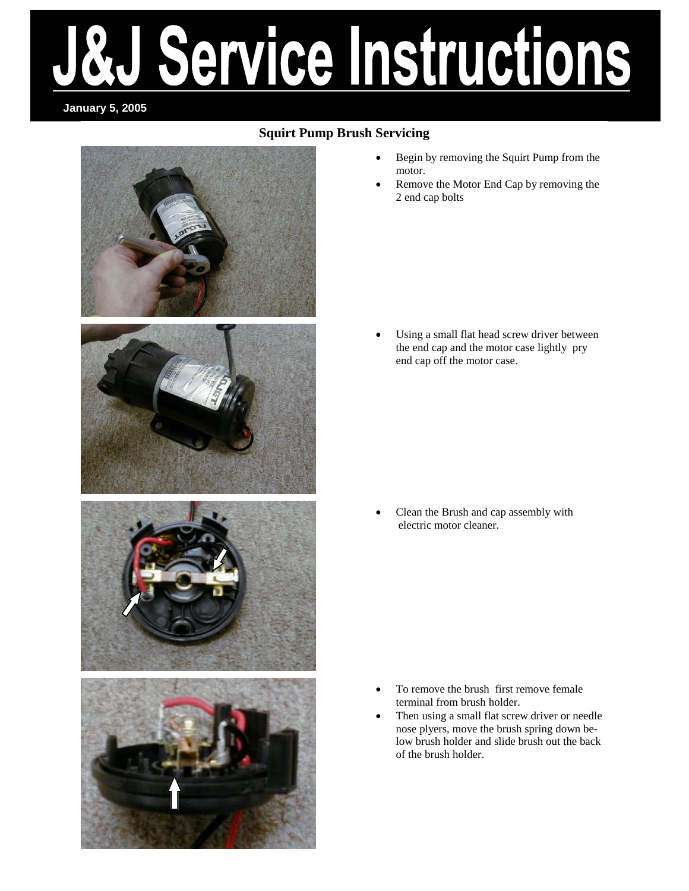# Service Instructions

## **January 5, 2005**

## **Squirt Pump Brush Servicing**



- Begin by removing the Squirt Pump from the motor.
- Remove the Motor End Cap by removing the 2 end cap bolts

Using a small flat head screw driver between the end cap and the motor case lightly pry end cap off the motor case.

• Clean the Brush and cap assembly with electric motor cleaner.

- To remove the brush first remove female terminal from brush holder.
- Then using a small flat screw driver or needle nose plyers, move the brush spring down below brush holder and slide brush out the back of the brush holder.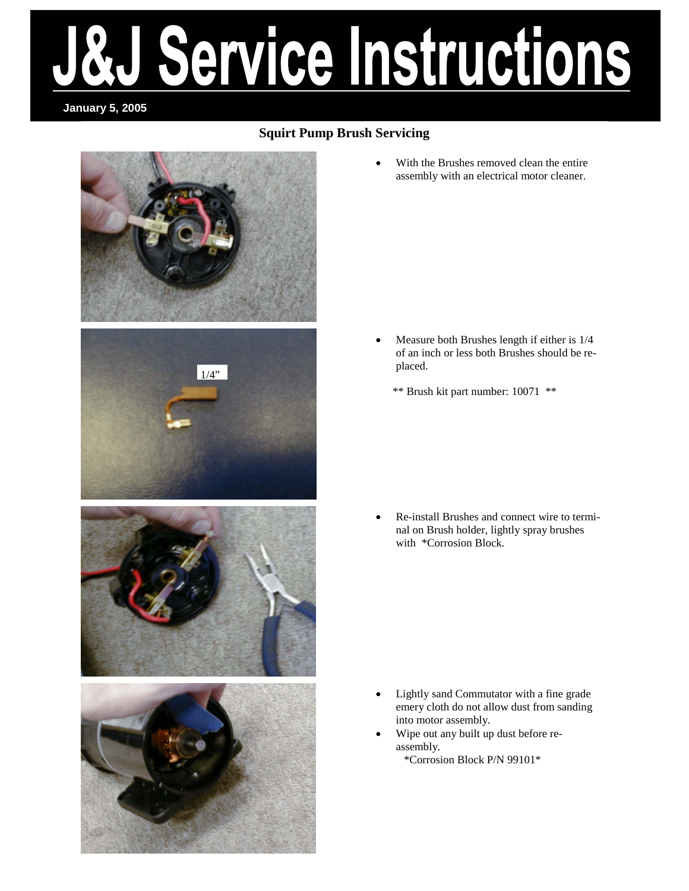# Service Instructions

**January 5, 2005** 

# **Squirt Pump Brush Servicing**



• With the Brushes removed clean the entire assembly with an electrical motor cleaner.

- Measure both Brushes length if either is 1/4 of an inch or less both Brushes should be replaced.
	- \*\* Brush kit part number: 10071 \*\*

• Re-install Brushes and connect wire to terminal on Brush holder, lightly spray brushes with \*Corrosion Block.

- Lightly sand Commutator with a fine grade emery cloth do not allow dust from sanding into motor assembly.
- Wipe out any built up dust before reassembly. \*Corrosion Block P/N 99101\*